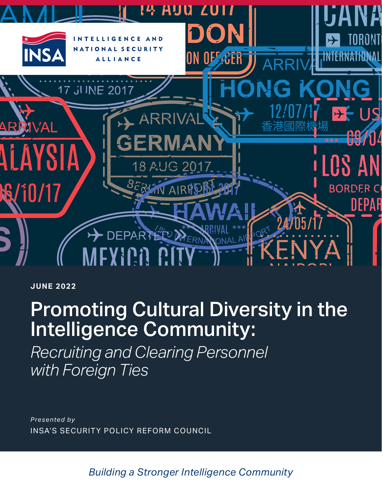

**JUNE 2022**

# Promoting Cultural Diversity in the Intelligence Community:

*Recruiting and Clearing Personnel with Foreign Ties*

*Presented by* INSA'S SECURITY POLICY REFORM COUNCIL

*Building a Stronger Intelligence Community*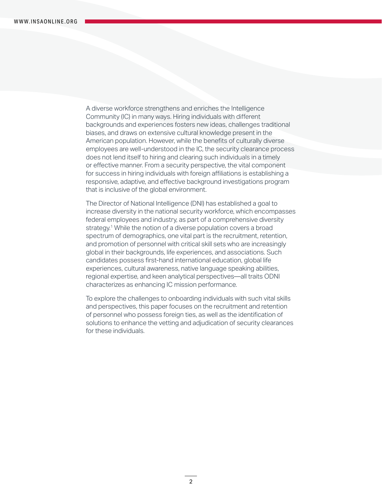A diverse workforce strengthens and enriches the Intelligence Community (IC) in many ways. Hiring individuals with different backgrounds and experiences fosters new ideas, challenges traditional biases, and draws on extensive cultural knowledge present in the American population. However, while the benefits of culturally diverse employees are well-understood in the IC, the security clearance process does not lend itself to hiring and clearing such individuals in a timely or effective manner. From a security perspective, the vital component for success in hiring individuals with foreign affiliations is establishing a responsive, adaptive, and effective background investigations program that is inclusive of the global environment.

The Director of National Intelligence (DNI) has established a goal to increase diversity in the national security workforce, which encompasses federal employees and industry, as part of a comprehensive diversity strategy.<sup>1</sup> While the notion of a diverse population covers a broad spectrum of demographics, one vital part is the recruitment, retention, and promotion of personnel with critical skill sets who are increasingly global in their backgrounds, life experiences, and associations. Such candidates possess first-hand international education, global life experiences, cultural awareness, native language speaking abilities, regional expertise, and keen analytical perspectives—all traits ODNI characterizes as enhancing IC mission performance.

To explore the challenges to onboarding individuals with such vital skills and perspectives, this paper focuses on the recruitment and retention of personnel who possess foreign ties, as well as the identification of solutions to enhance the vetting and adjudication of security clearances for these individuals.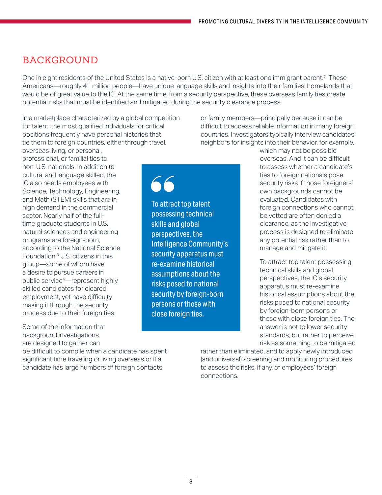#### BACKGROUND

One in eight residents of the United States is a native-born U.S. citizen with at least one immigrant parent.<sup>2</sup> These Americans—roughly 41 million people—have unique language skills and insights into their families' homelands that would be of great value to the IC. At the same time, from a security perspective, these overseas family ties create potential risks that must be identified and mitigated during the security clearance process.

In a marketplace characterized by a global competition for talent, the most qualified individuals for critical positions frequently have personal histories that tie them to foreign countries, either through travel,

or family members—principally because it can be difficult to access reliable information in many foreign countries. Investigators typically interview candidates' neighbors for insights into their behavior, for example,

overseas living, or personal, professional, or familial ties to non-U.S. nationals. In addition to cultural and language skilled, the IC also needs employees with Science, Technology, Engineering, and Math (STEM) skills that are in high demand in the commercial sector. Nearly half of the fulltime graduate students in U.S. natural sciences and engineering programs are foreign-born, according to the National Science Foundation.3 U.S. citizens in this group—some of whom have a desire to pursue careers in public service4—represent highly skilled candidates for cleared employment, yet have difficulty making it through the security process due to their foreign ties.

Some of the information that background investigations are designed to gather can

be difficult to compile when a candidate has spent significant time traveling or living overseas or if a candidate has large numbers of foreign contacts

66 To attract top talent

possessing technical skills and global perspectives, the Intelligence Community's security apparatus must re-examine historical assumptions about the risks posed to national security by foreign-born persons or those with close foreign ties.

which may not be possible overseas. And it can be difficult to assess whether a candidate's ties to foreign nationals pose security risks if those foreigners' own backgrounds cannot be evaluated. Candidates with foreign connections who cannot be vetted are often denied a clearance, as the investigative process is designed to eliminate any potential risk rather than to manage and mitigate it.

To attract top talent possessing technical skills and global perspectives, the IC's security apparatus must re-examine historical assumptions about the risks posed to national security by foreign-born persons or those with close foreign ties. The answer is not to lower security standards, but rather to perceive risk as something to be mitigated

rather than eliminated, and to apply newly introduced (and universal) screening and monitoring procedures to assess the risks, if any, of employees' foreign connections.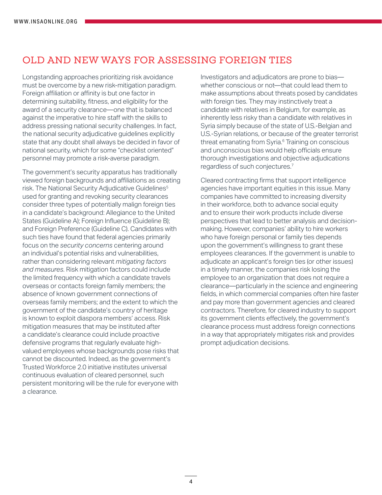#### OLD AND NEW WAYS FOR ASSESSING FOREIGN TIES

Longstanding approaches prioritizing risk avoidance must be overcome by a new risk-mitigation paradigm. Foreign affiliation or affinity is but one factor in determining suitability, fitness, and eligibility for the award of a security clearance—one that is balanced against the imperative to hire staff with the skills to address pressing national security challenges. In fact, the national security adjudicative guidelines explicitly state that any doubt shall always be decided in favor of national security, which for some "checklist oriented" personnel may promote a risk-averse paradigm.

The government's security apparatus has traditionally viewed foreign backgrounds and affiliations as creating risk. The National Security Adjudicative Guidelines<sup>5</sup> used for granting and revoking security clearances consider three types of potentially malign foreign ties in a candidate's background: Allegiance to the United States (Guideline A); Foreign Influence (Guideline B); and Foreign Preference (Guideline C). Candidates with such ties have found that federal agencies primarily focus on the *security concerns* centering around an individual's potential risks and vulnerabilities, rather than considering relevant *mitigating factors and measures.* Risk mitigation factors could include the limited frequency with which a candidate travels overseas or contacts foreign family members; the absence of known government connections of overseas family members; and the extent to which the government of the candidate's country of heritage is known to exploit diaspora members' access. Risk mitigation measures that may be instituted after a candidate's clearance could include proactive defensive programs that regularly evaluate highvalued employees whose backgrounds pose risks that cannot be discounted. Indeed, as the government's Trusted Workforce 2.0 initiative institutes universal continuous evaluation of cleared personnel, such persistent monitoring will be the rule for everyone with a clearance.

Investigators and adjudicators are prone to bias whether conscious or not—that could lead them to make assumptions about threats posed by candidates with foreign ties. They may instinctively treat a candidate with relatives in Belgium, for example, as inherently less risky than a candidate with relatives in Syria simply because of the state of U.S.-Belgian and U.S.-Syrian relations, or because of the greater terrorist threat emanating from Syria.<sup>6</sup> Training on conscious and unconscious bias would help officials ensure thorough investigations and objective adjudications regardless of such conjectures.7

Cleared contracting firms that support intelligence agencies have important equities in this issue. Many companies have committed to increasing diversity in their workforce, both to advance social equity and to ensure their work products include diverse perspectives that lead to better analysis and decisionmaking. However, companies' ability to hire workers who have foreign personal or family ties depends upon the government's willingness to grant these employees clearances. If the government is unable to adjudicate an applicant's foreign ties (or other issues) in a timely manner, the companies risk losing the employee to an organization that does not require a clearance—particularly in the science and engineering fields, in which commercial companies often hire faster and pay more than government agencies and cleared contractors. Therefore, for cleared industry to support its government clients effectively, the government's clearance process must address foreign connections in a way that appropriately mitigates risk and provides prompt adjudication decisions.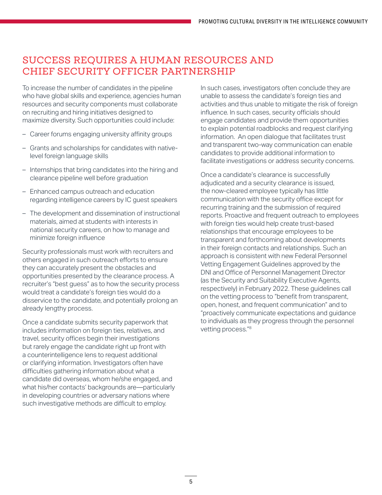## SUCCESS REQUIRES A HUMAN RESOURCES AND CHIEF SECURITY OFFICER PARTNERSHIP

To increase the number of candidates in the pipeline who have global skills and experience, agencies human resources and security components must collaborate on recruiting and hiring initiatives designed to maximize diversity. Such opportunities could include:

- Career forums engaging university affinity groups
- Grants and scholarships for candidates with nativelevel foreign language skills
- Internships that bring candidates into the hiring and clearance pipeline well before graduation
- Enhanced campus outreach and education regarding intelligence careers by IC guest speakers
- The development and dissemination of instructional materials, aimed at students with interests in national security careers, on how to manage and minimize foreign influence

Security professionals must work with recruiters and others engaged in such outreach efforts to ensure they can accurately present the obstacles and opportunities presented by the clearance process. A recruiter's "best guess" as to how the security process would treat a candidate's foreign ties would do a disservice to the candidate, and potentially prolong an already lengthy process.

Once a candidate submits security paperwork that includes information on foreign ties, relatives, and travel, security offices begin their investigations but rarely engage the candidate right up front with a counterintelligence lens to request additional or clarifying information. Investigators often have difficulties gathering information about what a candidate did overseas, whom he/she engaged, and what his/her contacts' backgrounds are—particularly in developing countries or adversary nations where such investigative methods are difficult to employ.

In such cases, investigators often conclude they are unable to assess the candidate's foreign ties and activities and thus unable to mitigate the risk of foreign influence. In such cases, security officials should engage candidates and provide them opportunities to explain potential roadblocks and request clarifying information. An open dialogue that facilitates trust and transparent two-way communication can enable candidates to provide additional information to facilitate investigations or address security concerns.

Once a candidate's clearance is successfully adjudicated and a security clearance is issued, the now-cleared employee typically has little communication with the security office except for recurring training and the submission of required reports. Proactive and frequent outreach to employees with foreign ties would help create trust-based relationships that encourage employees to be transparent and forthcoming about developments in their foreign contacts and relationships. Such an approach is consistent with new Federal Personnel Vetting Engagement Guidelines approved by the DNI and Office of Personnel Management Director (as the Security and Suitability Executive Agents, respectively) in February 2022. These guidelines call on the vetting process to "benefit from transparent, open, honest, and frequent communication" and to "proactively communicate expectations and guidance to individuals as they progress through the personnel vetting process."8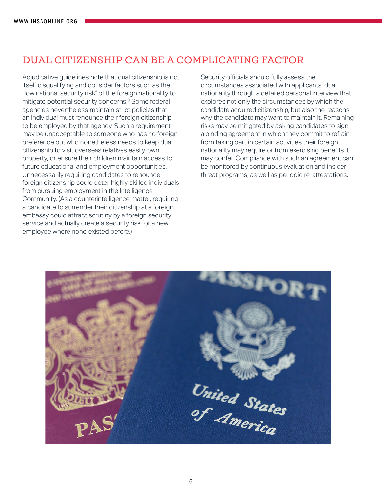## DUAL CITIZENSHIP CAN BE A COMPLICATING FACTOR

Adjudicative guidelines note that dual citizenship is not itself disqualifying and consider factors such as the "low national security risk" of the foreign nationality to mitigate potential security concerns.9 Some federal agencies nevertheless maintain strict policies that an individual must renounce their foreign citizenship to be employed by that agency. Such a requirement may be unacceptable to someone who has no foreign preference but who nonetheless needs to keep dual citizenship to visit overseas relatives easily, own property, or ensure their children maintain access to future educational and employment opportunities. Unnecessarily requiring candidates to renounce foreign citizenship could deter highly skilled individuals from pursuing employment in the Intelligence Community. (As a counterintelligence matter, requiring a candidate to surrender their citizenship at a foreign embassy could attract scrutiny by a foreign security service and actually create a security risk for a new employee where none existed before.)

Security officials should fully assess the circumstances associated with applicants' dual nationality through a detailed personal interview that explores not only the circumstances by which the candidate acquired citizenship, but also the reasons why the candidate may want to maintain it. Remaining risks may be mitigated by asking candidates to sign a binding agreement in which they commit to refrain from taking part in certain activities their foreign nationality may require or from exercising benefits it may confer. Compliance with such an agreement can be monitored by continuous evaluation and insider threat programs, as well as periodic re-attestations.

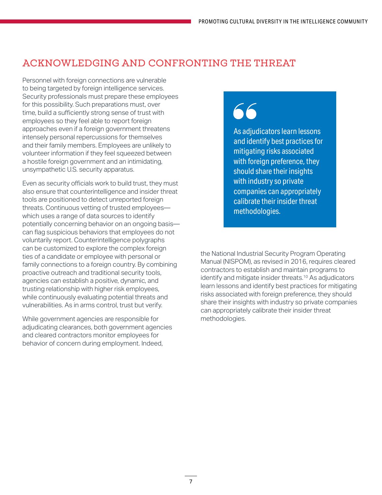### ACKNOWLEDGING AND CONFRONTING THE THREAT

Personnel with foreign connections are vulnerable to being targeted by foreign intelligence services. Security professionals must prepare these employees for this possibility. Such preparations must, over time, build a sufficiently strong sense of trust with employees so they feel able to report foreign approaches even if a foreign government threatens intensely personal repercussions for themselves and their family members. Employees are unlikely to volunteer information if they feel squeezed between a hostile foreign government and an intimidating, unsympathetic U.S. security apparatus.

Even as security officials work to build trust, they must also ensure that counterintelligence and insider threat tools are positioned to detect unreported foreign threats. Continuous vetting of trusted employees which uses a range of data sources to identify potentially concerning behavior on an ongoing basis can flag suspicious behaviors that employees do not voluntarily report. Counterintelligence polygraphs can be customized to explore the complex foreign ties of a candidate or employee with personal or family connections to a foreign country. By combining proactive outreach and traditional security tools, agencies can establish a positive, dynamic, and trusting relationship with higher risk employees, while continuously evaluating potential threats and vulnerabilities. As in arms control, trust but verify.

While government agencies are responsible for adjudicating clearances, both government agencies and cleared contractors monitor employees for behavior of concern during employment. Indeed,

As adjudicators learn lessons and identify best practices for mitigating risks associated with foreign preference, they should share their insights with industry so private companies can appropriately calibrate their insider threat methodologies.

the National Industrial Security Program Operating Manual (NISPOM), as revised in 2016, requires cleared contractors to establish and maintain programs to identify and mitigate insider threats.<sup>10</sup> As adjudicators learn lessons and identify best practices for mitigating risks associated with foreign preference, they should share their insights with industry so private companies can appropriately calibrate their insider threat methodologies.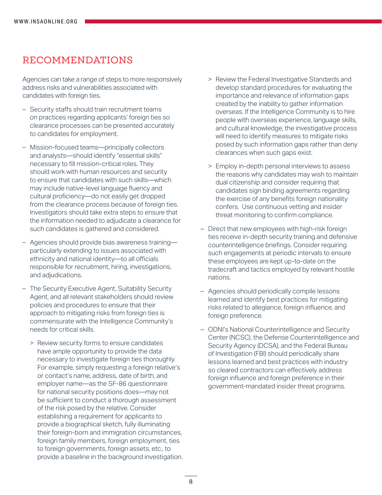#### RECOMMENDATIONS

Agencies can take a range of steps to more responsively address risks and vulnerabilities associated with candidates with foreign ties.

- Security staffs should train recruitment teams on practices regarding applicants' foreign ties so clearance processes can be presented accurately to candidates for employment.
- Mission-focused teams—principally collectors and analysts—should identify "essential skills" necessary to fill mission-critical roles. They should work with human resources and security to ensure that candidates with such skills—which may include native-level language fluency and cultural proficiency—do not easily get dropped from the clearance process because of foreign ties. Investigators should take extra steps to ensure that the information needed to adjudicate a clearance for such candidates is gathered and considered.
- Agencies should provide bias awareness training particularly extending to issues associated with ethnicity and national identity—to all officials responsible for recruitment, hiring, investigations, and adjudications.
- The Security Executive Agent, Suitability Security Agent, and all relevant stakeholders should review policies and procedures to ensure that their approach to mitigating risks from foreign ties is commensurate with the Intelligence Community's needs for critical skills.
	- > Review security forms to ensure candidates have ample opportunity to provide the data necessary to investigate foreign ties thoroughly. For example, simply requesting a foreign relative's or contact's name, address, date of birth, and employer name—as the SF-86 questionnaire for national security positions does—may not be sufficient to conduct a thorough assessment of the risk posed by the relative. Consider establishing a requirement for applicants to provide a biographical sketch, fully illuminating their foreign-born and immigration circumstances, foreign family members, foreign employment, ties to foreign governments, foreign assets, etc., to provide a baseline in the background investigation.
- > Review the Federal Investigative Standards and develop standard procedures for evaluating the importance and relevance of information gaps created by the inability to gather information overseas. If the Intelligence Community is to hire people with overseas experience, language skills, and cultural knowledge, the investigative process will need to identify measures to mitigate risks posed by such information gaps rather than deny clearances when such gaps exist.
- > Employ in-depth personal interviews to assess the reasons why candidates may wish to maintain dual citizenship and consider requiring that candidates sign binding agreements regarding the exercise of any benefits foreign nationality confers. Use continuous vetting and insider threat monitoring to confirm compliance.
- Direct that new employees with high-risk foreign ties receive in-depth security training and defensive counterintelligence briefings. Consider requiring such engagements at periodic intervals to ensure these employees are kept up-to-date on the tradecraft and tactics employed by relevant hostile nations.
- Agencies should periodically compile lessons learned and identify best practices for mitigating risks related to allegiance, foreign influence, and foreign preference.
- ODNI's National Counterintelligence and Security Center (NCSC), the Defense Counterintelligence and Security Agency (DCSA), and the Federal Bureau of Investigation (FBI) should periodically share lessons learned and best practices with industry so cleared contractors can effectively address foreign influence and foreign preference in their government-mandated insider threat programs.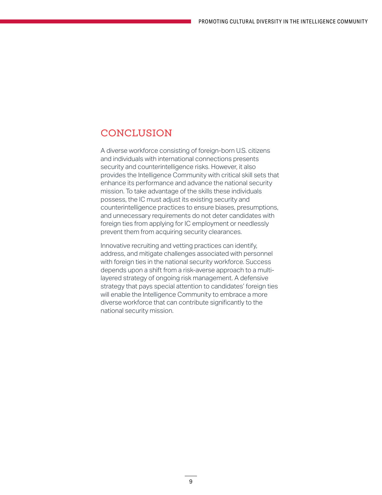#### CONCLUSION

A diverse workforce consisting of foreign-born U.S. citizens and individuals with international connections presents security and counterintelligence risks. However, it also provides the Intelligence Community with critical skill sets that enhance its performance and advance the national security mission. To take advantage of the skills these individuals possess, the IC must adjust its existing security and counterintelligence practices to ensure biases, presumptions, and unnecessary requirements do not deter candidates with foreign ties from applying for IC employment or needlessly prevent them from acquiring security clearances.

Innovative recruiting and vetting practices can identify, address, and mitigate challenges associated with personnel with foreign ties in the national security workforce. Success depends upon a shift from a risk-averse approach to a multilayered strategy of ongoing risk management. A defensive strategy that pays special attention to candidates' foreign ties will enable the Intelligence Community to embrace a more diverse workforce that can contribute significantly to the national security mission.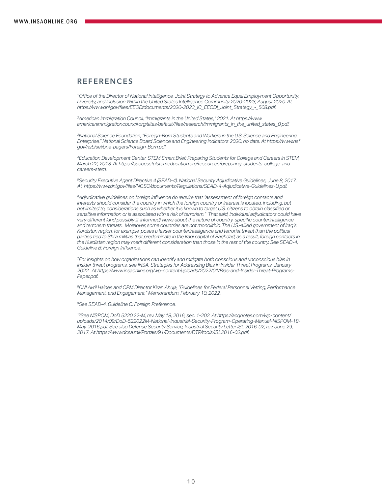#### REFERENCES

*<sup>1</sup>Office of the Director of National Intelligence, Joint Strategy to Advance Equal Employment Opportunity, Diversity, and Inclusion Within the United States Intelligence Community 2020-2023, August 2020. At https://www.dni.gov/files/EEOD/documents/2020-2023\_IC\_EEODI\_Joint\_Strategy\_-\_508.pdf.* 

*2American Immigration Council, "Immigrants in the United States," 2021. At https://www. americanimmigrationcouncil.org/sites/default/files/research/immigrants\_in\_the\_united\_states\_0.pdf.* 

*3National Science Foundation, "Foreign-Born Students and Workers in the U.S. Science and Engineering Enterprise," National Science Board Science and Engineering Indicators 2020, no date. At https://www.nsf. gov/nsb/sei/one-pagers/Foreign-Born.pdf.* 

*<sup>4</sup>Education Development Center, STEM Smart Brief: Preparing Students for College and Careers in STEM, March 22, 2013. At https://successfulstemeducation.org/resources/preparing-students-college-andcareers-stem.* 

*5Security Executive Agent Directive 4 (SEAD-4), National Security Adjudicative Guidelines, June 8, 2017. At https://www.dni.gov/files/NCSC/documents/Regulations/SEAD-4-Adjudicative-Guidelines-U.pdf.*

*<sup>6</sup>Adjudicative guidelines on foreign influence do require that "assessment of foreign contacts and*  interests should consider the country in which the foreign country or interest is located, including, but *not limited to, considerations such as whether it is known to target U.S. citizens to obtain classified or sensitive information or is associated with a risk of terrorism." That said, individual adjudicators could have very different (and possibly ill-informed) views about the nature of country-specific counterintelligence and terrorism threats. Moreover, some countries are not monolithic. The U.S.-allied government of Iraq's Kurdistan region, for example, poses a lesser counterintelligence and terrorist threat than the political parties tied to Shi'a militias that predominate in the Iraqi capital of Baghdad; as a result, foreign contacts in the Kurdistan region may merit different consideration than those in the rest of the country. See SEAD-4, Guideline B: Foreign Influence.* 

*7For insights on how organizations can identify and mitigate both conscious and unconscious bias in insider threat programs, see INSA, Strategies for Addressing Bias in Insider Threat Programs, January 2022. At https://www.insaonline.org/wp-content/uploads/2022/01/Bias-and-Insider-Threat-Programs-Paper.pdf.* 

*8DNI Avril Haines and OPM Director Kiran Ahuja, "Guidelines for Federal Personnel Vetting, Performance Management, and Engagement," Memorandum, February 10, 2022.* 

*<sup>9</sup>See SEAD-4, Guideline C: Foreign Preference.*

*10See NISPOM, DoD 5220.22-M, rev. May 18, 2016, sec. 1-202. At https://acqnotes.com/wp-content/ uploads/2014/09/DoD-522022M-National-Industrial-Security-Program-Operating-Manual-NISPOM-18- May-2016.pdf. See also Defense Security Service, Industrial Security Letter ISL 2016-02, rev. June 29, 2017. At https://www.dcsa.mil/Portals/91/Documents/CTP/tools/ISL2016-02.pdf.*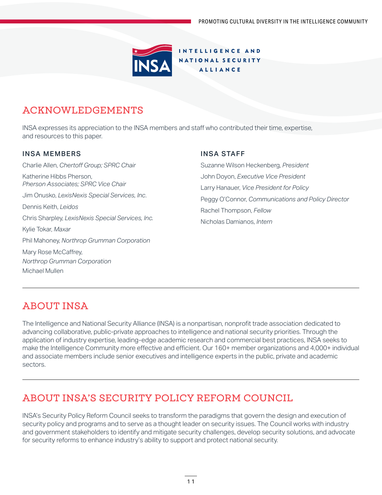

## ACKNOWLEDGEMENTS

INSA expresses its appreciation to the INSA members and staff who contributed their time, expertise, and resources to this paper.

#### INSA MEMBERS

Charlie Allen, *Chertoff Group; SPRC Chair* Katherine Hibbs Pherson, *Pherson Associates; SPRC Vice Chair* Jim Onusko, *LexisNexis Special Services, Inc*. Dennis Keith, *Leidos* Chris Sharpley, *LexisNexis Special Services, Inc.* Kylie Tokar, *Maxar* Phil Mahoney, *Northrop Grumman Corporation* Mary Rose McCaffrey, *Northrop Grumman Corporation* Michael Mullen

#### INSA STAFF

Suzanne Wilson Heckenberg, *President* John Doyon, *Executive Vice President*  Larry Hanauer, *Vice President for Policy*  Peggy O'Connor, *Communications and Policy Director* Rachel Thompson, *Fellow* Nicholas Damianos, *Intern*

# ABOUT INSA

The Intelligence and National Security Alliance (INSA) is a nonpartisan, nonprofit trade association dedicated to advancing collaborative, public-private approaches to intelligence and national security priorities. Through the application of industry expertise, leading-edge academic research and commercial best practices, INSA seeks to make the Intelligence Community more effective and efficient. Our 160+ member organizations and 4,000+ individual and associate members include senior executives and intelligence experts in the public, private and academic sectors.

# ABOUT INSA'S SECURITY POLICY REFORM COUNCIL

INSA's Security Policy Reform Council seeks to transform the paradigms that govern the design and execution of security policy and programs and to serve as a thought leader on security issues. The Council works with industry and government stakeholders to identify and mitigate security challenges, develop security solutions, and advocate for security reforms to enhance industry's ability to support and protect national security.